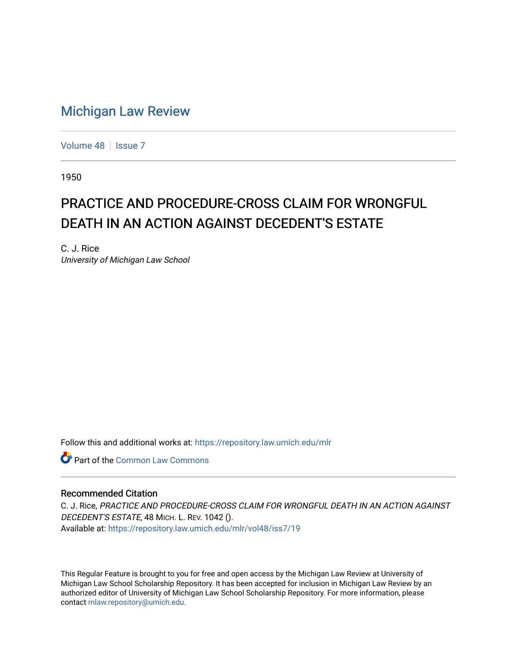## [Michigan Law Review](https://repository.law.umich.edu/mlr)

[Volume 48](https://repository.law.umich.edu/mlr/vol48) | [Issue 7](https://repository.law.umich.edu/mlr/vol48/iss7)

1950

## PRACTICE AND PROCEDURE-CROSS CLAIM FOR WRONGFUL DEATH IN AN ACTION AGAINST DECEDENT'S ESTATE

C. J. Rice University of Michigan Law School

Follow this and additional works at: [https://repository.law.umich.edu/mlr](https://repository.law.umich.edu/mlr?utm_source=repository.law.umich.edu%2Fmlr%2Fvol48%2Fiss7%2F19&utm_medium=PDF&utm_campaign=PDFCoverPages) 

**C** Part of the Common Law Commons

## Recommended Citation

C. J. Rice, PRACTICE AND PROCEDURE-CROSS CLAIM FOR WRONGFUL DEATH IN AN ACTION AGAINST DECEDENT'S ESTATE, 48 MICH. L. REV. 1042 (). Available at: [https://repository.law.umich.edu/mlr/vol48/iss7/19](https://repository.law.umich.edu/mlr/vol48/iss7/19?utm_source=repository.law.umich.edu%2Fmlr%2Fvol48%2Fiss7%2F19&utm_medium=PDF&utm_campaign=PDFCoverPages) 

This Regular Feature is brought to you for free and open access by the Michigan Law Review at University of Michigan Law School Scholarship Repository. It has been accepted for inclusion in Michigan Law Review by an authorized editor of University of Michigan Law School Scholarship Repository. For more information, please contact [mlaw.repository@umich.edu](mailto:mlaw.repository@umich.edu).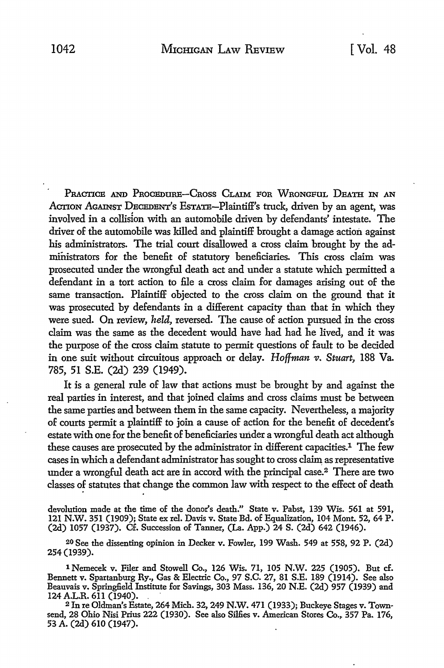PRACTICE AND PROCEDURE-CROSS CLAIM FOR WRONGFUL DEATH IN AN ACTION AGAINST DECEDENT'S EsTATE-Plaintiff's truck, driven by an agent, was involved in a collision with an automobile driven by defendants' intestate. The driver of the automobile was killed and plaintiff brought a damage action against his administrators. The trial court disallowed a cross claim brought by the administrators for the benefit of statutory beneficiaries. This cross claim was prosecuted under the wrongful death act and under a statute which permitted a defendant in a tort action to file a cross claim for damages arising out of the same transaction. Plaintiff objected to the cross claim on the ground that it was prosecuted by defendants in a different capacity than that in which they were sued. On review, *held,* reversed. The cause of action pursued in the cross claim was the same as the decedent would have had had he lived, and it was the purpose of the cross claim statute to permit questions of fault to be decided in one suit without circuitous approach or delay. *Hoffman v. Stuart*, 188 Va. 785, 51 S.E. (2d) 239 (1949).

It is a general rule of law that actions must be brought by and against the real parties in interest, and that joined claims and cross claims must be between the same parties and between them in the same capacity. Nevertheless, a majority of courts permit a plaintiff to join a cause of action for the benefit of decedent's estate with one for the benefit of beneficiaries under a wrongful death act although these causes are prosecuted by the administrator in different capacities.1 The few cases in which a defendant administrator has sought to cross claim as representative under a wrongful death act are in accord with the principal case.<sup>2</sup> There are two classes of statutes that change the common law with respect to the effect of death

devolution made at the time of the donor's death." State v. Pabst, 139 Wis. 561 at 591, 121 N.W. 351 (1909); State ex rel. Davis v. State Bd. of Equalization, 104 Mont. 52, 64 P. (2d) 1057 (1937). Cf. Succession of Tanner, (La. App.) 24 S. (2d) 642 (1946).

20 See the dissenting opinion in Decker v. Fowler, 199 Wash. 549 at 558, 92 P. (2d) 254(1939).

1 Nemecek v. Filer and Stowell Co., 126 Wis. 71, 105 N.W. 225 (1905). But cf. Bennett v. Spartanburg Ry., Gas & Electric Co., 97 S.C. 27, 81 S.E. 189 (1914). See also Beauvais v. Springfield Institute for Savings, 303 Mass. 136, 20 N.E. (2d) 957 (1939) and 124 A.L.R. 611 (1940). .

2 In re Oldman's Estate, 264 Mich. 32, 249 N.W. 471 (1933); Buckeye Stages v. Townsend, 28 Ohio Nisi Prius 222 (1930). See also Sillies v. American Stores Co., 357 Pa. 176, 53 A. (2d) 610 (1947).